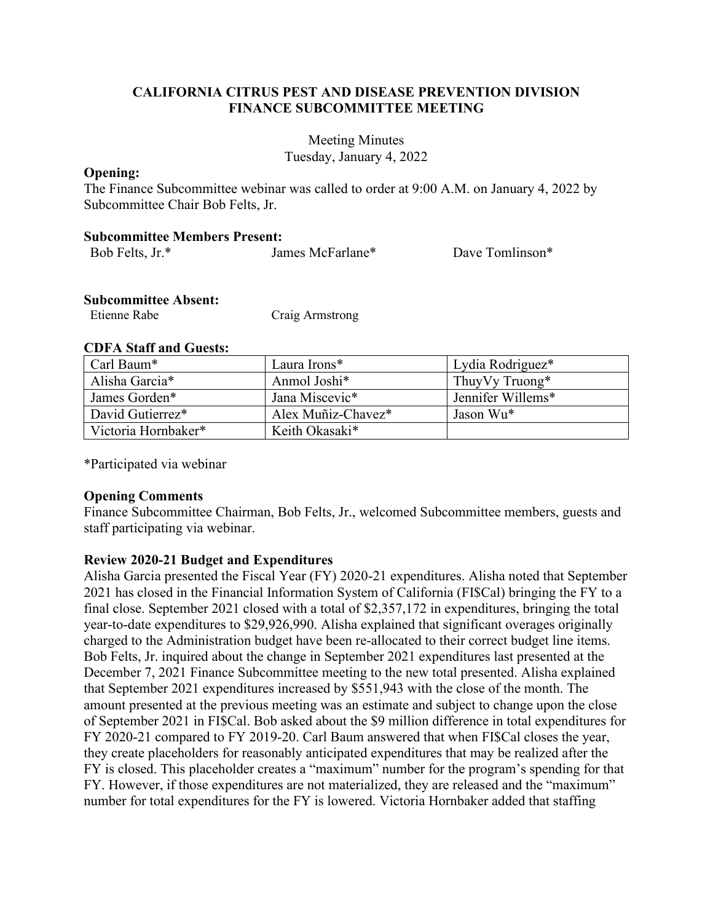## **CALIFORNIA CITRUS PEST AND DISEASE PREVENTION DIVISION FINANCE SUBCOMMITTEE MEETING**

 Tuesday, January 4, 2022 Meeting Minutes

## **Opening:**

The Finance Subcommittee webinar was called to order at 9:00 A.M. on January 4, 2022 by Subcommittee Chair Bob Felts, Jr.

## **Subcommittee Members Present:**

| Bob Felts, Jr.* | James McFarlane* | Dave Tomlinson* |
|-----------------|------------------|-----------------|
|                 |                  |                 |

#### **Subcommittee Absent:**

| Etienne Rabe | Craig Armstrong |
|--------------|-----------------|
|--------------|-----------------|

## **CDFA Staff and Guests:**

| Carl Baum*          | Laura Irons*       | Lydia Rodriguez*  |
|---------------------|--------------------|-------------------|
| Alisha Garcia*      | Anmol Joshi*       | Thuy Vy Truong*   |
| James Gorden*       | Jana Miscevic*     | Jennifer Willems* |
| David Gutierrez*    | Alex Muñiz-Chavez* | Jason Wu*         |
| Victoria Hornbaker* | Keith Okasaki*     |                   |

\*Participated via webinar

## **Opening Comments**

Finance Subcommittee Chairman, Bob Felts, Jr., welcomed Subcommittee members, guests and staff participating via webinar.

## **Review 2020-21 Budget and Expenditures**

 Alisha Garcia presented the Fiscal Year (FY) 2020-21 expenditures. Alisha noted that September 2021 has closed in the Financial Information System of California (FI\$Cal) bringing the FY to a final close. September 2021 closed with a total of \$2,357,172 in expenditures, bringing the total year-to-date expenditures to \$29,926,990. Alisha explained that significant overages originally charged to the Administration budget have been re-allocated to their correct budget line items. Bob Felts, Jr. inquired about the change in September 2021 expenditures last presented at the December 7, 2021 Finance Subcommittee meeting to the new total presented. Alisha explained amount presented at the previous meeting was an estimate and subject to change upon the close number for total expenditures for the FY is lowered. Victoria Hornbaker added that staffing that September 2021 expenditures increased by \$551,943 with the close of the month. The of September 2021 in FI\$Cal. Bob asked about the \$9 million difference in total expenditures for FY 2020-21 compared to FY 2019-20. Carl Baum answered that when FI\$Cal closes the year, they create placeholders for reasonably anticipated expenditures that may be realized after the FY is closed. This placeholder creates a "maximum" number for the program's spending for that FY. However, if those expenditures are not materialized, they are released and the "maximum"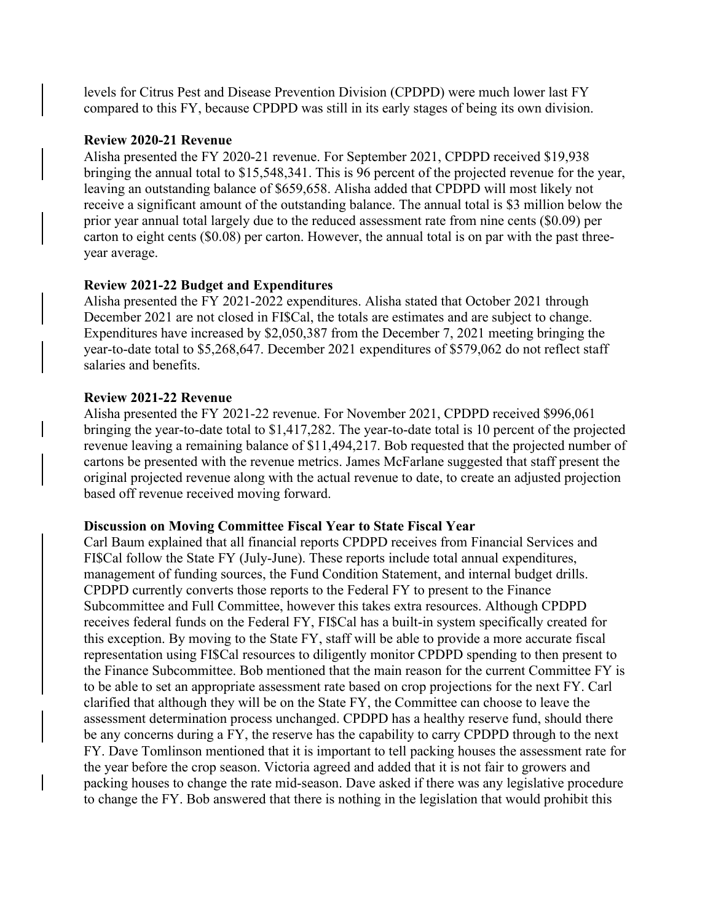compared to this FY, because CPDPD was still in its early stages of being its own division. levels for Citrus Pest and Disease Prevention Division (CPDPD) were much lower last FY

#### **Review 2020-21 Revenue**

 Alisha presented the FY 2020-21 revenue. For September 2021, CPDPD received \$19,938 bringing the annual total to \$15,548,341. This is 96 percent of the projected revenue for the year, leaving an outstanding balance of \$659,658. Alisha added that CPDPD will most likely not receive a significant amount of the outstanding balance. The annual total is \$3 million below the prior year annual total largely due to the reduced assessment rate from nine cents (\$0.09) per carton to eight cents (\$0.08) per carton. However, the annual total is on par with the past threeyear average.

## **Review 2021-22 Budget and Expenditures**

 December 2021 are not closed in FI\$Cal, the totals are estimates and are subject to change. year-to-date total to \$5,268,647. December 2021 expenditures of \$579,062 do not reflect staff Alisha presented the FY 2021-2022 expenditures. Alisha stated that October 2021 through Expenditures have increased by \$2,050,387 from the December 7, 2021 meeting bringing the salaries and benefits.

# **Review 2021-22 Revenue**

 Alisha presented the FY 2021-22 revenue. For November 2021, CPDPD received \$996,061 bringing the year-to-date total to \$1,417,282. The year-to-date total is 10 percent of the projected cartons be presented with the revenue metrics. James McFarlane suggested that staff present the original projected revenue along with the actual revenue to date, to create an adjusted projection based off revenue received moving forward. revenue leaving a remaining balance of \$11,494,217. Bob requested that the projected number of

## **Discussion on Moving Committee Fiscal Year to State Fiscal Year**

 Carl Baum explained that all financial reports CPDPD receives from Financial Services and receives federal funds on the Federal FY, FI\$Cal has a built-in system specifically created for this exception. By moving to the State FY, staff will be able to provide a more accurate fiscal representation using FI\$Cal resources to diligently monitor CPDPD spending to then present to the Finance Subcommittee. Bob mentioned that the main reason for the current Committee FY is to be able to set an appropriate assessment rate based on crop projections for the next FY. Carl assessment determination process unchanged. CPDPD has a healthy reserve fund, should there be any concerns during a FY, the reserve has the capability to carry CPDPD through to the next FY. Dave Tomlinson mentioned that it is important to tell packing houses the assessment rate for packing houses to change the rate mid-season. Dave asked if there was any legislative procedure FI\$Cal follow the State FY (July-June). These reports include total annual expenditures, management of funding sources, the Fund Condition Statement, and internal budget drills. CPDPD currently converts those reports to the Federal FY to present to the Finance Subcommittee and Full Committee, however this takes extra resources. Although CPDPD clarified that although they will be on the State FY, the Committee can choose to leave the the year before the crop season. Victoria agreed and added that it is not fair to growers and to change the FY. Bob answered that there is nothing in the legislation that would prohibit this